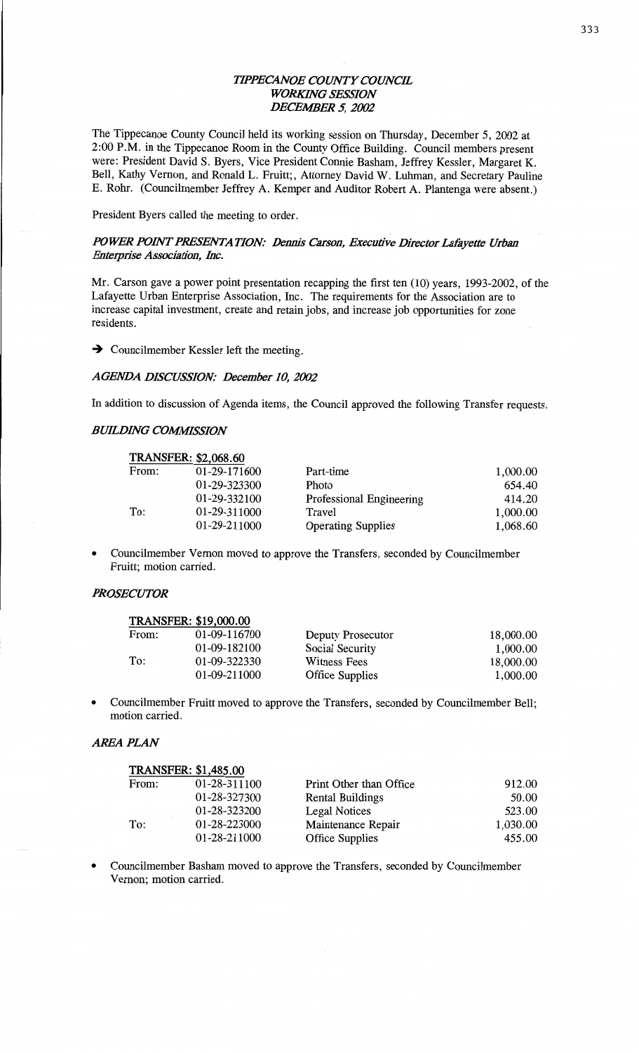## **TIPPECANOE COUNTY COUNCIL** *WORKHVG SESSION DECEIWER* 5, *2002*

The **Tippecanoe** County **Council held** its working **session** on Thursday, December 5, 2002 at 2:00 P.M. in the **Tippecanoe** Room in the County Office Building. Council members present were: President David S. Byers, Vice President Connie **Basham,** Jeffrey Kessler, Margaret K. Bell, **Kathy** Vernon, and **Ronald** L. Fruitt;, Attorney **David** W. Luhman, and Secretary **Pauline**  E. Rohr. **(Councilmember** Jeffrey A. Kcmper and Auditor Robert A. Plantenga were **absgnt.)** 

President Byers **called** the meeting to order.

# *POWER POINT PRESENTATION: Dennis Carson, Executive Director Lafayette Urban Enterprise Association, Inc.*

Mr. Carson gave a power point presentation recapping the first ten (10) years, 1993-2002, of the Lafayette Urban Enterprise **Association,** Inc. The requirements for the **Association** are to increase capital investment, create and **retain jobs,** and **increase** job **opportunities** for **zone**  residents.

 $\rightarrow$  Councilmember Kessler left the meeting.

#### *AGENDA DECUSSION: December* 10, *2002*

In **addition** to **discussion** of Agenda items, the **Council** approved the following Transfer requests.

#### **BUILDING COMMISSION**

| <b>TRANSFER: \$2,068.60</b> |              |                           |          |  |  |
|-----------------------------|--------------|---------------------------|----------|--|--|
| From:                       | 01-29-171600 | Part-time                 | 1,000.00 |  |  |
|                             | 01-29-323300 | <b>Photo</b>              | 654.40   |  |  |
|                             | 01-29-332100 | Professional Engineering  | 414.20   |  |  |
| To:                         | 01-29-311000 | Travel                    | 1,000.00 |  |  |
|                             | 01-29-211000 | <b>Operating Supplies</b> | 1,068.60 |  |  |

**0** Councilmember **Vernon** moved to approve the Transfers, seconded by **Councilmember**  Pruitt; **motion** carried.

### *PROSECUTOR*

|       | <b>TRANSFER: \$19,000.00</b> |                        |           |
|-------|------------------------------|------------------------|-----------|
| From: | 01-09-116700                 | Deputy Prosecutor      | 18,000.00 |
|       | 01-09-182100                 | Social Security        | 1,000.00  |
| To:   | 01-09-322330                 | Witness Fees           | 18,000.00 |
|       | 01-09-211000                 | <b>Office Supplies</b> | 1,000.00  |

**o Councilmember** Pruitt **moved** to approve the Transfers, **seconded** by **Councilmember** Bell; motion carried.

### *AREA PLAN*

|       | <b>TRANSFER: \$1,485.00</b> |                         |          |
|-------|-----------------------------|-------------------------|----------|
| From: | 01-28-311100                | Print Other than Office | 912.00   |
|       | 01-28-327300                | <b>Rental Buildings</b> | 50.00    |
|       | 01-28-323200                | <b>Legal Notices</b>    | 523.00   |
| To:   | 01-28-223000                | Maintenance Repair      | 1,030.00 |
|       | 01-28-211000                | <b>Office Supplies</b>  | 455.00   |

**0 Councilmember Basham moved** to approve the Transfers, seconded by Councilmember Vernon; **motion** carried.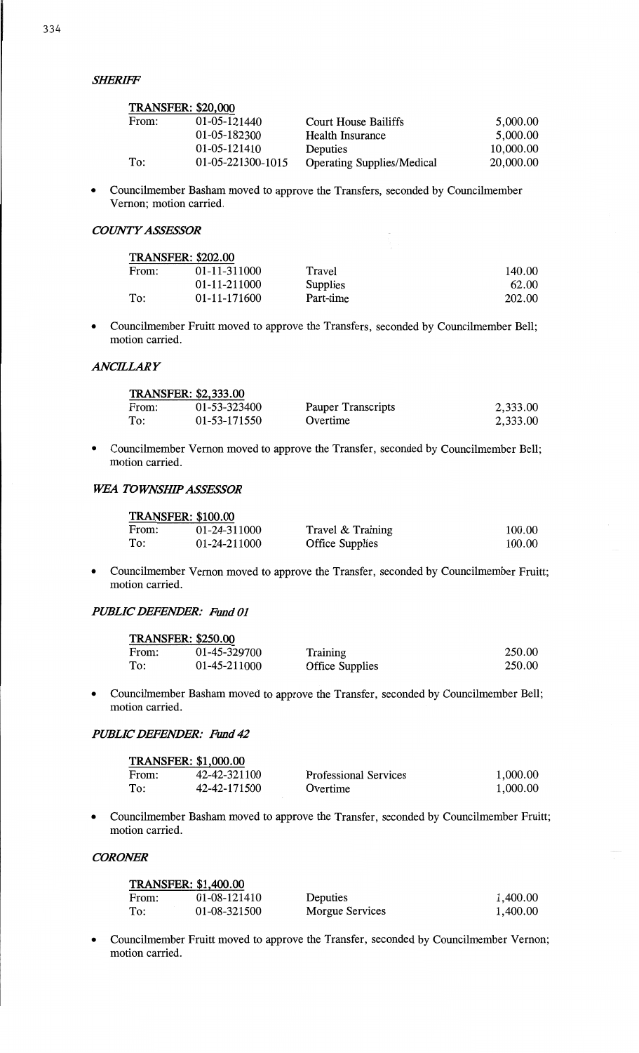| <b>TRANSFER: \$20,000</b> |                   |                                   |           |
|---------------------------|-------------------|-----------------------------------|-----------|
| From:                     | 01-05-121440      | <b>Court House Bailiffs</b>       | 5,000.00  |
|                           | 01-05-182300      | Health Insurance                  | 5,000.00  |
|                           | 01-05-121410      | Deputies                          | 10,000.00 |
| To:                       | 01-05-221300-1015 | <b>Operating Supplies/Medical</b> | 20,000.00 |

*<sup>0</sup>*Councilmember **Basham moved to** approve **the** Transfers, seconded **by Councilmember**  Vernon; **motion** carried.

# *COWTYASSESSOR*

| <b>TRANSFER: \$202.00</b> |              |           |        |  |
|---------------------------|--------------|-----------|--------|--|
| From:                     | 01-11-311000 | Travel    | 140.00 |  |
|                           | 01-11-211000 | Supplies  | 62.00  |  |
| To:                       | 01-11-171600 | Part-time | 202.00 |  |

**<sup>0</sup>**Councilmember Fruitt moved **to approve the** Transfers, **seconded by Councilmember Bell;**  motion carried.

### *ANCELARY*

|       | <b>TRANSFER: \$2,333.00</b> |                    |          |  |  |
|-------|-----------------------------|--------------------|----------|--|--|
| From: | 01-53-323400                | Pauper Transcripts | 2,333.00 |  |  |
| To:   | 01-53-171550                | Overtime           | 2,333.00 |  |  |

**0 Councilmember Vernon moved to** approve **the** Transfer, **seconded by** Councilmember Bell; **motion** carried.

# **WEA TOWNSHIP ASSESSOR**

| <b>TRANSFER: \$100.00</b> |              |                        |        |  |
|---------------------------|--------------|------------------------|--------|--|
| From:                     | 01-24-311000 | Travel & Training      | 100.00 |  |
| To:                       | 01-24-211000 | <b>Office Supplies</b> | 100.00 |  |

**-** Councilmember **Vernon moved to** approve **the** Transfer, seconded **by Councilmember** Fruitt; **motion** carried.

### *PUBLIC DEFENDER: Fund* **01**

|       | <b>TRANSFER: \$250.00</b> |                        |        |
|-------|---------------------------|------------------------|--------|
| From: | 01-45-329700              | Training               | 250.00 |
| To:   | 01-45-211000              | <b>Office Supplies</b> | 250.00 |

**0 Councilmember Basham moved to** approve **the** Transfer, **seconded by Councilmember Bell; motion** carried. *'* 

### *PUBLIC DEFENDER:* **Hind 42**

| <b>TRANSFER: \$1,000.00</b> |              |                              |          |  |
|-----------------------------|--------------|------------------------------|----------|--|
| From:                       | 42-42-321100 | <b>Professional Services</b> | 1,000.00 |  |
| To:                         | 42-42-171500 | Overtime                     | 1,000.00 |  |

**<sup>0</sup>**Councilmember **Basham moved to** approve **the Transfer,** seconded **by Councilmember** Fruitt; **motion** carried.

# *CORONER*

| <b>TRANSFER: \$1,400.00</b> |              |                 |          |  |
|-----------------------------|--------------|-----------------|----------|--|
| From:                       | 01-08-121410 | Deputies        | 1,400.00 |  |
| To:                         | 01-08-321500 | Morgue Services | 1,400.00 |  |

**- Councilmember** Fruitt **moved to** approve **the** Transfer, seconded **by Councilmember** Vernon; **motion** carried.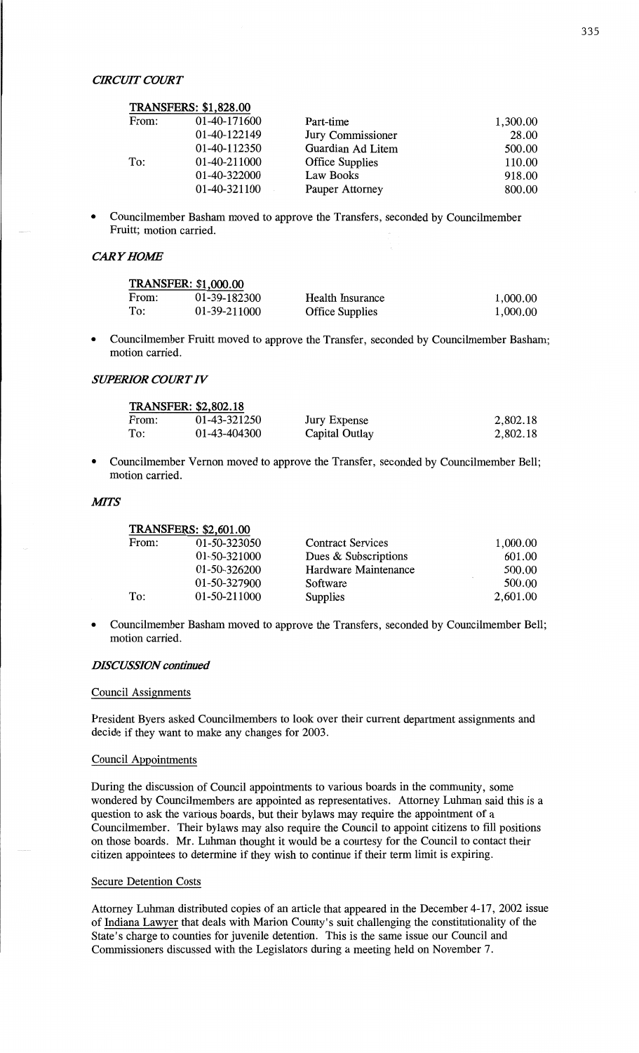|       | <b>TRANSFERS: \$1,828.00</b> |                        |          |
|-------|------------------------------|------------------------|----------|
| From: | 01-40-171600                 | Part-time              | 1,300.00 |
|       | 01-40-122149                 | Jury Commissioner      | 28.00    |
|       | 01-40-112350                 | Guardian Ad Litem      | 500.00   |
| To:   | 01-40-211000                 | <b>Office Supplies</b> | 110.00   |
|       | 01-40-322000                 | Law Books              | 918.00   |
|       | 01-40-321100                 | Pauper Attorney        | 800.00   |

*<sup>0</sup>*Councihnember **Basham** moved to approve the Transfers, seconded by Councilmember Fruitt; **motion** carried.

### *CARY HOME*

| <b>TRANSFER: \$1,000.00</b> |              |                         |          |  |
|-----------------------------|--------------|-------------------------|----------|--|
| From:                       | 01-39-182300 | <b>Health Insurance</b> | 1,000.00 |  |
| To:                         | 01-39-211000 | <b>Office Supplies</b>  | 1.000.00 |  |

**<sup>0</sup>**Councilmember Pruitt moved to approve the Transfer, seconded by Councilmember **Basham; motion** carried.

# *SWERIOR COURT* IV

| <b>TRANSFER: \$2,802.18</b> |              |                |          |  |
|-----------------------------|--------------|----------------|----------|--|
| From:                       | 01-43-321250 | Jury Expense   | 2,802.18 |  |
| To:                         | 01-43-404300 | Capital Outlay | 2,802.18 |  |

**0** Councilmember **Vernon moved** to approve the Transfer, **seconded** by Councilmember Bell; motion carried.

#### **MITS**

| $11$ VIIIOI LIVO. $92,001.00$ |                          |          |
|-------------------------------|--------------------------|----------|
| 01-50-323050                  | <b>Contract Services</b> | 1,000.00 |
| 01-50-321000                  | Dues & Subscriptions     | 601.00   |
| 01-50-326200                  | Hardware Maintenance     | 500.00   |
| 01-50-327900                  | Software                 | 500.00   |
| 01-50-211000                  | Supplies                 | 2,601.00 |
|                               |                          |          |

**0** Councilmember **Basham** moved to approve the Transfers, **seconded** by Councilmember Bell; motion carried.

### *DISCUSSION continued*

**TRANSFERS: \$2,601.00** 

#### **Council Assignments**

President Byers **asked** Councilmembers to look over their current department assignments and decide if they want to make any changes for 2003.

### Council Appointments

During the discussion of Council appointments to various **boards** in the **community, some**  wondered by **Councilmembers** are appointed as **representatives.** Attorney **Luhman said this** is a question to ask the various boards, but their bylaws may require the appointment of **a**  Councilmember. Their bylaws may also require the Council to appoint citizens to fill **positions**  on those **boards.** Mr. Luhman thought it would be a courtesy for the Council to contact their citizen appointees to **determine** if they **wish** to continue if their term limit is expiring.

#### Secure Detention **Costs**

Attorney **Luhman** distributed copies of an article that appeared in the December **4-17,** 2002 issue of Indiana Lawyer that deals with Marion County's suit challenging the constitutionality of the State's charge to counties for juvenile detention. This is the same issue our **Council** and Commissioners discussed with the Legislators during **a** meeting held on November 7.